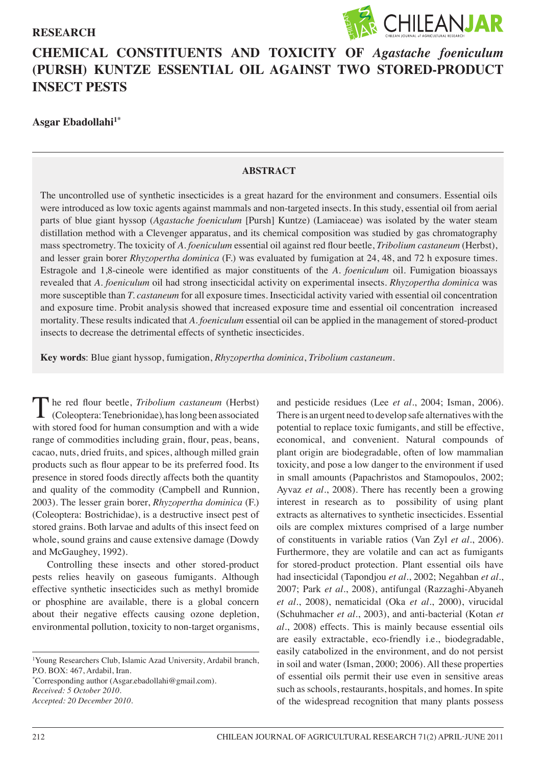# **RESEARCH**



# **CHEMICAL CONSTITUENTS AND TOXICITY OF** *Agastache foeniculum*  **(PURSH) KUNTZE ESSENTIAL OIL AGAINST TWO STORED-PRODUCT INSECT PESTS**

**Asgar Ebadollahi1\***

## **ABSTRACT**

The uncontrolled use of synthetic insecticides is a great hazard for the environment and consumers. Essential oils were introduced as low toxic agents against mammals and non-targeted insects. In this study, essential oil from aerial parts of blue giant hyssop (*Agastache foeniculum* [Pursh] Kuntze) (Lamiaceae) was isolated by the water steam distillation method with a Clevenger apparatus, and its chemical composition was studied by gas chromatography mass spectrometry. The toxicity of *A. foeniculum* essential oil against red flour beetle, *Tribolium castaneum* (Herbst), and lesser grain borer *Rhyzopertha dominica* (F.) was evaluated by fumigation at 24, 48, and 72 h exposure times. Estragole and 1,8-cineole were identified as major constituents of the *A. foeniculum* oil. Fumigation bioassays revealed that *A. foeniculum* oil had strong insecticidal activity on experimental insects. *Rhyzopertha dominica* was more susceptible than *T. castaneum* for all exposure times. Insecticidal activity varied with essential oil concentration and exposure time. Probit analysis showed that increased exposure time and essential oil concentration increased mortality. These results indicated that *A. foeniculum* essential oil can be applied in the management of stored-product insects to decrease the detrimental effects of synthetic insecticides.

**Key words**: Blue giant hyssop, fumigation, *Rhyzopertha dominica*, *Tribolium castaneum*.

The red flour beetle, *Tribolium castaneum* (Herbst) (Coleoptera: Tenebrionidae), has long been associated with stored food for human consumption and with a wide range of commodities including grain, flour, peas, beans, cacao, nuts, dried fruits, and spices, although milled grain products such as flour appear to be its preferred food. Its presence in stored foods directly affects both the quantity and quality of the commodity (Campbell and Runnion, 2003). The lesser grain borer, *Rhyzopertha dominica* (F.) (Coleoptera: Bostrichidae), is a destructive insect pest of stored grains. Both larvae and adults of this insect feed on whole, sound grains and cause extensive damage (Dowdy and McGaughey, 1992).

Controlling these insects and other stored-product pests relies heavily on gaseous fumigants. Although effective synthetic insecticides such as methyl bromide or phosphine are available, there is a global concern about their negative effects causing ozone depletion, environmental pollution, toxicity to non-target organisms,

1 Young Researchers Club, Islamic Azad University, Ardabil branch, P.O. BOX: 467, Ardabil, Iran.

\* Corresponding author (Asgar.ebadollahi@gmail.com). *Received: 5 October 2010. Accepted: 20 December 2010.*

and pesticide residues (Lee *et al*., 2004; Isman, 2006). There is an urgent need to develop safe alternatives with the potential to replace toxic fumigants, and still be effective, economical, and convenient. Natural compounds of plant origin are biodegradable, often of low mammalian toxicity, and pose a low danger to the environment if used in small amounts (Papachristos and Stamopoulos, 2002; Ayvaz *et al*., 2008). There has recently been a growing interest in research as to possibility of using plant extracts as alternatives to synthetic insecticides. Essential oils are complex mixtures comprised of a large number of constituents in variable ratios (Van Zyl *et al*., 2006). Furthermore, they are volatile and can act as fumigants for stored-product protection. Plant essential oils have had insecticidal (Tapondjou *et al*., 2002; Negahban *et al*., 2007; Park *et al*., 2008), antifungal (Razzaghi-Abyaneh *et al*., 2008), nematicidal (Oka *et al*., 2000), virucidal (Schuhmacher *et al*., 2003), and anti-bacterial (Kotan *et al*., 2008) effects. This is mainly because essential oils are easily extractable, eco-friendly i.e., biodegradable, easily catabolized in the environment, and do not persist in soil and water (Isman, 2000; 2006). All these properties of essential oils permit their use even in sensitive areas such as schools, restaurants, hospitals, and homes. In spite of the widespread recognition that many plants possess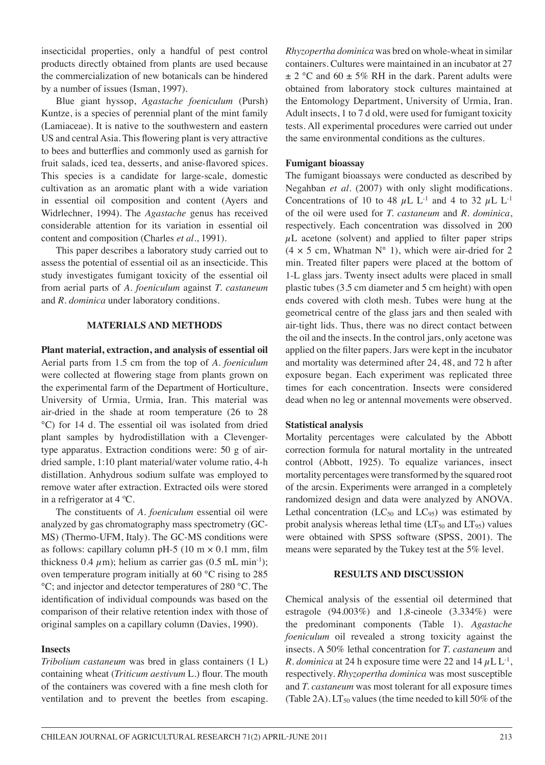insecticidal properties, only a handful of pest control products directly obtained from plants are used because the commercialization of new botanicals can be hindered by a number of issues (Isman, 1997).

Blue giant hyssop, *Agastache foeniculum* (Pursh) Kuntze, is a species of perennial plant of the mint family (Lamiaceae). It is native to the southwestern and eastern US and central Asia. This flowering plant is very attractive to bees and butterflies and commonly used as garnish for fruit salads, iced tea, desserts, and anise-flavored spices. This species is a candidate for large-scale, domestic cultivation as an aromatic plant with a wide variation in essential oil composition and content (Ayers and Widrlechner, 1994). The *Agastache* genus has received considerable attention for its variation in essential oil content and composition (Charles *et al*., 1991).

This paper describes a laboratory study carried out to assess the potential of essential oil as an insecticide. This study investigates fumigant toxicity of the essential oil from aerial parts of *A. foeniculum* against *T. castaneum* and *R. dominica* under laboratory conditions.

## **MATERIALS AND METHODS**

**Plant material, extraction, and analysis of essential oil**  Aerial parts from 1.5 cm from the top of *A. foeniculum* were collected at flowering stage from plants grown on the experimental farm of the Department of Horticulture, University of Urmia, Urmia, Iran. This material was air-dried in the shade at room temperature (26 to 28 °C) for 14 d. The essential oil was isolated from dried plant samples by hydrodistillation with a Clevengertype apparatus. Extraction conditions were: 50 g of airdried sample, 1:10 plant material/water volume ratio, 4-h distillation. Anhydrous sodium sulfate was employed to remove water after extraction. Extracted oils were stored in a refrigerator at 4 ºC.

The constituents of *A. foeniculum* essential oil were analyzed by gas chromatography mass spectrometry (GC-MS) (Thermo-UFM, Italy). The GC-MS conditions were as follows: capillary column pH-5 (10 m  $\times$  0.1 mm, film thickness 0.4  $\mu$ m); helium as carrier gas (0.5 mL min<sup>-1</sup>); oven temperature program initially at 60 °C rising to 285 °C; and injector and detector temperatures of 280 °C. The identification of individual compounds was based on the comparison of their relative retention index with those of original samples on a capillary column (Davies, 1990).

## **Insects**

*Tribolium castaneum* was bred in glass containers (1 L) containing wheat (*Triticum aestivum* L.) flour. The mouth of the containers was covered with a fine mesh cloth for ventilation and to prevent the beetles from escaping.

*Rhyzopertha dominica* was bred on whole-wheat in similar containers. Cultures were maintained in an incubator at 27  $\pm$  2 °C and 60  $\pm$  5% RH in the dark. Parent adults were obtained from laboratory stock cultures maintained at the Entomology Department, University of Urmia, Iran. Adult insects, 1 to 7 d old, were used for fumigant toxicity tests. All experimental procedures were carried out under the same environmental conditions as the cultures.

#### **Fumigant bioassay**

The fumigant bioassays were conducted as described by Negahban *et al*. (2007) with only slight modifications. Concentrations of 10 to 48  $\mu$ L L<sup>-1</sup> and 4 to 32  $\mu$ L L<sup>-1</sup> of the oil were used for *T. castaneum* and *R. dominica*, respectively. Each concentration was dissolved in 200  $\mu$ L acetone (solvent) and applied to filter paper strips  $(4 \times 5 \text{ cm}, \text{Whatman N}^{\circ} \text{ 1}),$  which were air-dried for 2 min. Treated filter papers were placed at the bottom of 1-L glass jars. Twenty insect adults were placed in small plastic tubes (3.5 cm diameter and 5 cm height) with open ends covered with cloth mesh. Tubes were hung at the geometrical centre of the glass jars and then sealed with air-tight lids. Thus, there was no direct contact between the oil and the insects. In the control jars, only acetone was applied on the filter papers. Jars were kept in the incubator and mortality was determined after 24, 48, and 72 h after exposure began. Each experiment was replicated three times for each concentration. Insects were considered dead when no leg or antennal movements were observed.

#### **Statistical analysis**

Mortality percentages were calculated by the Abbott correction formula for natural mortality in the untreated control (Abbott, 1925). To equalize variances, insect mortality percentages were transformed by the squared root of the arcsin. Experiments were arranged in a completely randomized design and data were analyzed by ANOVA. Lethal concentration  $(LC_{50}$  and  $LC_{95})$  was estimated by probit analysis whereas lethal time  $(LT_{50}$  and  $LT_{95})$  values were obtained with SPSS software (SPSS, 2001). The means were separated by the Tukey test at the 5% level.

## **RESULTS AND DISCUSSION**

Chemical analysis of the essential oil determined that estragole (94.003%) and 1,8-cineole (3.334%) were the predominant components (Table 1). *Agastache foeniculum* oil revealed a strong toxicity against the insects. A 50% lethal concentration for *T. castaneum* and *R. dominica* at 24 h exposure time were 22 and  $14 \mu L L^{-1}$ , respectively. *Rhyzopertha dominica* was most susceptible and *T. castaneum* was most tolerant for all exposure times (Table 2A).  $LT_{50}$  values (the time needed to kill 50% of the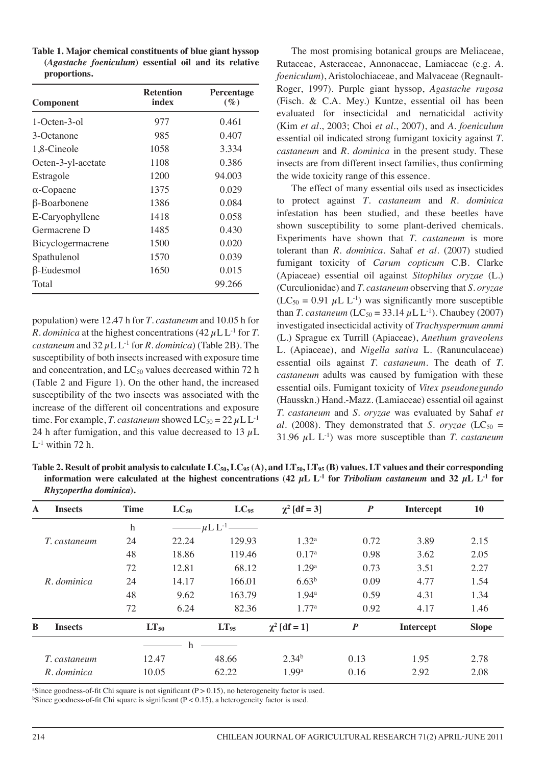| Table 1. Major chemical constituents of blue giant hyssop |  |  |  |
|-----------------------------------------------------------|--|--|--|
| (Agastache foeniculum) essential oil and its relative     |  |  |  |
| proportions.                                              |  |  |  |

| <b>Component</b>    | <b>Retention</b><br>index | Percentage<br>$(\%)$ |  |
|---------------------|---------------------------|----------------------|--|
| $1-Octen-3-0$       | 977                       | 0.461                |  |
| 3-Octanone          | 985                       | 0.407                |  |
| 1,8-Cineole         | 1058                      | 3.334                |  |
| Octen-3-yl-acetate  | 1108                      | 0.386                |  |
| Estragole           | 1200                      | 94.003               |  |
| $\alpha$ -Copaene   | 1375                      | 0.029                |  |
| $\beta$ -Boarbonene | 1386                      | 0.084                |  |
| E-Caryophyllene     | 1418                      | 0.058                |  |
| Germacrene D        | 1485                      | 0.430                |  |
| Bicyclogermacrene   | 1500                      | 0.020                |  |
| Spathulenol         | 1570                      | 0.039                |  |
| β-Eudesmol          | 1650                      | 0.015                |  |
| Total               |                           | 99.266               |  |

population) were 12.47 h for *T*. *castaneum* and 10.05 h for *R. dominica* at the highest concentrations  $(42 \mu L L^{-1}$  for *T*. *castaneum* and  $32 \mu L L^{-1}$  for *R. dominica*) (Table 2B). The susceptibility of both insects increased with exposure time and concentration, and  $LC_{50}$  values decreased within 72 h (Table 2 and Figure 1). On the other hand, the increased susceptibility of the two insects was associated with the increase of the different oil concentrations and exposure time. For example, *T. castaneum* showed  $LC_{50} = 22 \mu L L^{-1}$ 24 h after fumigation, and this value decreased to 13  $\mu$ L  $L^{-1}$  within 72 h.

The most promising botanical groups are Meliaceae, Rutaceae, Asteraceae, Annonaceae, Lamiaceae (e.g. *A. foeniculum*), Aristolochiaceae, and Malvaceae (Regnault-Roger, 1997). Purple giant hyssop, *Agastache rugosa* (Fisch. & C.A. Mey.) Kuntze, essential oil has been evaluated for insecticidal and nematicidal activity (Kim *et al*., 2003; Choi *et al*., 2007), and *A. foeniculum* essential oil indicated strong fumigant toxicity against *T. castaneum* and *R. dominica* in the present study. These insects are from different insect families, thus confirming the wide toxicity range of this essence.

The effect of many essential oils used as insecticides to protect against *T*. *castaneum* and *R*. *dominica* infestation has been studied, and these beetles have shown susceptibility to some plant-derived chemicals. Experiments have shown that *T. castaneum* is more tolerant than *R. dominica*. Sahaf *et al*. (2007) studied fumigant toxicity of *Carum copticum* C.B. Clarke (Apiaceae) essential oil against *Sitophilus oryzae* (L.) (Curculionidae) and *T. castaneum* observing that *S. oryzae*   $(LC_{50} = 0.91 \mu L L^{-1})$  was significantly more susceptible than *T. castaneum* (LC<sub>50</sub> = 33.14  $\mu$ L L<sup>-1</sup>). Chaubey (2007) investigated insecticidal activity of *Trachyspermum ammi*  (L.) Sprague ex Turrill (Apiaceae), *Anethum graveolens*  L. (Apiaceae), and *Nigella sativa* L. (Ranunculaceae) essential oils against *T. castaneum*. The death of *T. castaneum* adults was caused by fumigation with these essential oils. Fumigant toxicity of *Vitex pseudonegundo* (Hausskn.) Hand.-Mazz. (Lamiaceae) essential oil against *T. castaneum* and *S. oryzae* was evaluated by Sahaf *et al.* (2008). They demonstrated that *S. oryzae* (LC<sub>50</sub> = 31.96  $\mu$ L L<sup>-1</sup>) was more susceptible than *T. castaneum* 

Table 2. Result of probit analysis to calculate LC<sub>50</sub>, LC<sub>95</sub> (A), and LT<sub>50</sub>, LT<sub>95</sub> (B) values. LT values and their corresponding **information were calculated at the highest concentrations (42**  $\mu$ **L L<sup>-1</sup> for** *Tribolium castaneum* **and 32**  $\mu$ **L L<sup>-1</sup> for** *Rhyzopertha dominica***).**

| <b>Insects</b><br>A | <b>Time</b> | $LC_{50}$ | $LC_{95}$       | $\chi^2$ [df = 3] | $\boldsymbol{P}$ | <b>Intercept</b> | 10           |
|---------------------|-------------|-----------|-----------------|-------------------|------------------|------------------|--------------|
|                     | $\mathbf h$ |           | $-\mu L L^{-1}$ |                   |                  |                  |              |
| T. castaneum        | 24          | 22.24     | 129.93          | 1.32 <sup>a</sup> | 0.72             | 3.89             | 2.15         |
|                     | 48          | 18.86     | 119.46          | 0.17 <sup>a</sup> | 0.98             | 3.62             | 2.05         |
|                     | 72          | 12.81     | 68.12           | 1.29 <sup>a</sup> | 0.73             | 3.51             | 2.27         |
| R. dominica         | 24          | 14.17     | 166.01          | 6.63 <sup>b</sup> | 0.09             | 4.77             | 1.54         |
|                     | 48          | 9.62      | 163.79          | 1.94 <sup>a</sup> | 0.59             | 4.31             | 1.34         |
|                     | 72          | 6.24      | 82.36           | 1.77 <sup>a</sup> | 0.92             | 4.17             | 1.46         |
| B<br><b>Insects</b> | $LT_{50}$   |           | $LT_{95}$       | $\chi^2$ [df = 1] | $\boldsymbol{P}$ | <b>Intercept</b> | <b>Slope</b> |
|                     |             | h         |                 |                   |                  |                  |              |
| T. castaneum        | 12.47       |           | 48.66           | 2.34 <sup>b</sup> | 0.13             | 1.95             | 2.78         |
| R. dominica         | 10.05       |           | 62.22           | 1.99 <sup>a</sup> | 0.16             | 2.92             | 2.08         |

<sup>a</sup>Since goodness-of-fit Chi square is not significant (P > 0.15), no heterogeneity factor is used.

<sup>b</sup>Since goodness-of-fit Chi square is significant ( $P < 0.15$ ), a heterogeneity factor is used.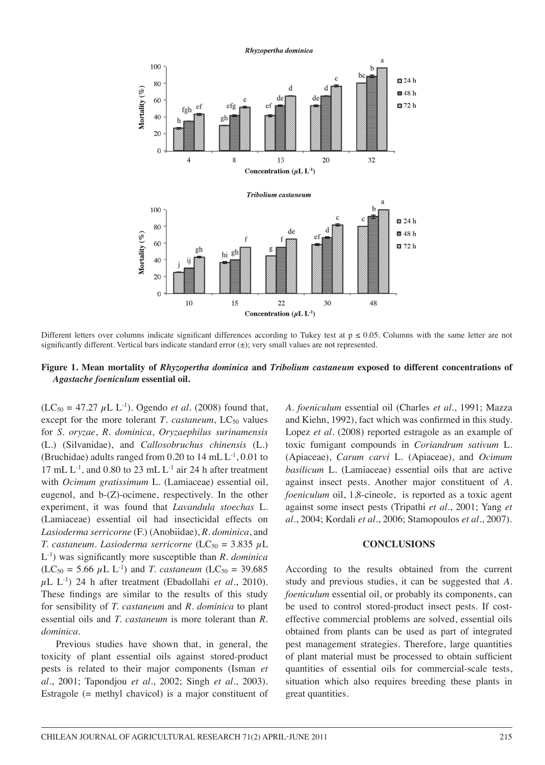

Different letters over columns indicate significant differences according to Tukey test at  $p \le 0.05$ . Columns with the same letter are not significantly different. Vertical bars indicate standard error (±); very small values are not represented.

#### **Figure 1. Mean mortality of** *Rhyzopertha dominica* **and** *Tribolium castaneum* **exposed to different concentrations of**  *Agastache foeniculum* **essential oil.**

 $(LC_{50} = 47.27 \mu L L^{-1})$ . Ogendo *et al.* (2008) found that, except for the more tolerant *T*. *castaneum*,  $LC_{50}$  values for *S. oryzae*, *R. dominica*, *Oryzaephilus surinamensis* (L.) (Silvanidae), and *Callosobruchus chinensis* (L.) (Bruchidae) adults ranged from 0.20 to 14 mL L-1, 0.01 to 17 mL  $L^{-1}$ , and 0.80 to 23 mL  $L^{-1}$  air 24 h after treatment with *Ocimum gratissimum* L. (Lamiaceae) essential oil, eugenol, and b-(Z)-ocimene, respectively. In the other experiment, it was found that *Lavandula stoechas* L. (Lamiaceae) essential oil had insecticidal effects on *Lasioderma serricorne* (F.) (Anobiidae), *R. dominica*, and *T. castaneum. Lasioderma serricorne*  $(LC_{50} = 3.835 \mu L)$ L-1) was significantly more susceptible than *R. dominica*   $(LC_{50} = 5.66 \mu L L^{-1})$  and *T. castaneum*  $(LC_{50} = 39.685)$ µL L-1) 24 h after treatment (Ebadollahi *et al*., 2010). These findings are similar to the results of this study for sensibility of *T. castaneum* and *R. dominica* to plant essential oils and *T. castaneum* is more tolerant than *R. dominica*.

Previous studies have shown that, in general, the toxicity of plant essential oils against stored-product pests is related to their major components (Isman *et al*., 2001; Tapondjou *et al*., 2002; Singh *et al*., 2003). Estragole (= methyl chavicol) is a major constituent of *A. foeniculum* essential oil (Charles *et al*., 1991; Mazza and Kiehn, 1992), fact which was confirmed in this study. Lopez *et al*. (2008) reported estragole as an example of toxic fumigant compounds in *Coriandrum sativum* L. (Apiaceae), *Carum carvi* L. (Apiaceae), and *Ocimum basilicum* L. (Lamiaceae) essential oils that are active against insect pests. Another major constituent of *A. foeniculum* oil, 1,8-cineole, is reported as a toxic agent against some insect pests (Tripathi *et al*., 2001; Yang *et al*., 2004; Kordali *et al*., 2006; Stamopoulos *et al*., 2007).

## **CONCLUSIONS**

According to the results obtained from the current study and previous studies, it can be suggested that *A. foeniculum* essential oil, or probably its components, can be used to control stored-product insect pests. If costeffective commercial problems are solved, essential oils obtained from plants can be used as part of integrated pest management strategies. Therefore, large quantities of plant material must be processed to obtain sufficient quantities of essential oils for commercial-scale tests, situation which also requires breeding these plants in great quantities.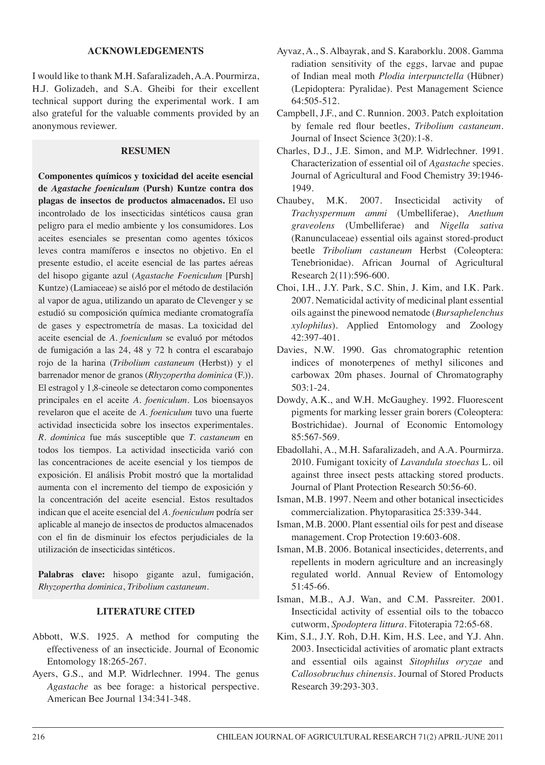#### **ACKNOWLEDGEMENTS**

I would like to thank M.H. Safaralizadeh, A.A. Pourmirza, H.J. Golizadeh, and S.A. Gheibi for their excellent technical support during the experimental work. I am also grateful for the valuable comments provided by an anonymous reviewer.

## **RESUMEN**

**Componentes químicos y toxicidad del aceite esencial de** *Agastache foeniculum* **(Pursh) Kuntze contra dos plagas de insectos de productos almacenados.** El uso incontrolado de los insecticidas sintéticos causa gran peligro para el medio ambiente y los consumidores. Los aceites esenciales se presentan como agentes tóxicos leves contra mamíferos e insectos no objetivo. En el presente estudio, el aceite esencial de las partes aéreas del hisopo gigante azul (*Agastache Foeniculum* [Pursh] Kuntze) (Lamiaceae) se aisló por el método de destilación al vapor de agua, utilizando un aparato de Clevenger y se estudió su composición química mediante cromatografía de gases y espectrometría de masas. La toxicidad del aceite esencial de *A. foeniculum* se evaluó por métodos de fumigación a las 24, 48 y 72 h contra el escarabajo rojo de la harina (*Tribolium castaneum* (Herbst)) y el barrenador menor de granos (*Rhyzopertha dominica* (F.)). El estragol y 1,8-cineole se detectaron como componentes principales en el aceite *A. foeniculum*. Los bioensayos revelaron que el aceite de *A. foeniculum* tuvo una fuerte actividad insecticida sobre los insectos experimentales. *R. dominica* fue más susceptible que *T. castaneum* en todos los tiempos. La actividad insecticida varió con las concentraciones de aceite esencial y los tiempos de exposición. El análisis Probit mostró que la mortalidad aumenta con el incremento del tiempo de exposición y la concentración del aceite esencial. Estos resultados indican que el aceite esencial del *A. foeniculum* podría ser aplicable al manejo de insectos de productos almacenados con el fin de disminuir los efectos perjudiciales de la utilización de insecticidas sintéticos.

**Palabras clave:** hisopo gigante azul, fumigación, *Rhyzopertha dominica*, *Tribolium castaneum*.

# **LITERATURE CITED**

- Abbott, W.S. 1925. A method for computing the effectiveness of an insecticide. Journal of Economic Entomology 18:265-267.
- Ayers, G.S., and M.P. Widrlechner. 1994. The genus *Agastache* as bee forage: a historical perspective. American Bee Journal 134:341-348.
- Ayvaz, A., S. Albayrak, and S. Karaborklu. 2008. Gamma radiation sensitivity of the eggs, larvae and pupae of Indian meal moth *Plodia interpunctella* (Hübner) (Lepidoptera: Pyralidae). Pest Management Science 64:505-512.
- Campbell, J.F., and C. Runnion. 2003. Patch exploitation by female red flour beetles, *Tribolium castaneum*. Journal of Insect Science 3(20):1-8.
- Charles, D.J., J.E. Simon, and M.P. Widrlechner. 1991. Characterization of essential oil of *Agastache* species. Journal of Agricultural and Food Chemistry 39:1946- 1949.
- Chaubey, M.K. 2007. Insecticidal activity of *Trachyspermum ammi* (Umbelliferae), *Anethum graveolens* (Umbelliferae) and *Nigella sativa* (Ranunculaceae) essential oils against stored-product beetle *Tribolium castaneum* Herbst (Coleoptera: Tenebrionidae). African Journal of Agricultural Research 2(11):596-600.
- Choi, I.H., J.Y. Park, S.C. Shin, J. Kim, and I.K. Park. 2007. Nematicidal activity of medicinal plant essential oils against the pinewood nematode (*Bursaphelenchus xylophilus*). Applied Entomology and Zoology 42:397-401.
- Davies, N.W. 1990. Gas chromatographic retention indices of monoterpenes of methyl silicones and carbowax 20m phases. Journal of Chromatography 503:1-24.
- Dowdy, A.K., and W.H. McGaughey. 1992. Fluorescent pigments for marking lesser grain borers (Coleoptera: Bostrichidae). Journal of Economic Entomology 85:567-569.
- Ebadollahi, A., M.H. Safaralizadeh, and A.A. Pourmirza. 2010. Fumigant toxicity of *Lavandula stoechas* L. oil against three insect pests attacking stored products. Journal of Plant Protection Research 50:56-60.
- Isman, M.B. 1997. Neem and other botanical insecticides commercialization. Phytoparasitica 25:339-344.
- Isman, M.B. 2000. Plant essential oils for pest and disease management. Crop Protection 19:603-608.
- Isman, M.B. 2006. Botanical insecticides, deterrents, and repellents in modern agriculture and an increasingly regulated world. Annual Review of Entomology 51:45-66.
- Isman, M.B., A.J. Wan, and C.M. Passreiter. 2001. Insecticidal activity of essential oils to the tobacco cutworm, *Spodoptera littura*. Fitoterapia 72:65-68.
- Kim, S.I., J.Y. Roh, D.H. Kim, H.S. Lee, and Y.J. Ahn. 2003. Insecticidal activities of aromatic plant extracts and essential oils against *Sitophilus oryzae* and *Callosobruchus chinensis*. Journal of Stored Products Research 39:293-303.